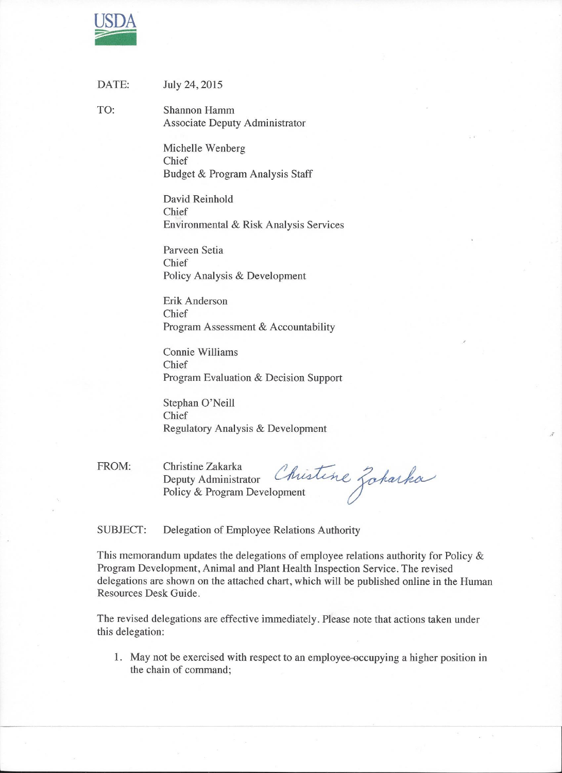

| DATE: | July 24, 2015 |
|-------|---------------|
|       |               |

TO: **Shannon Hamm Associate Deputy Administrator** 

> Michelle Wenberg Chief Budget & Program Analysis Staff

David Reinhold Chief Environmental & Risk Analysis Services

Parveen Setia Chief Policy Analysis & Development

Erik Anderson Chief Program Assessment & Accountability

Connie Williams Chief Program Evaluation & Decision Support

Stephan O'Neill Chief Regulatory Analysis & Development

FROM: Christine Zakarka

Christine Zakarka<br>Deputy Administrator Christine Zoharka

**SUBJECT:** Delegation of Employee Relations Authority

This memorandum updates the delegations of employee relations authority for Policy  $\&$ Program Development, Animal and Plant Health Inspection Service. The revised delegations are shown on the attached chart, which will be published online in the Human Resources Desk Guide.

The revised delegations are effective immediately. Please note that actions taken under this delegation:

1. May not be exercised with respect to an employee-occupying a higher position in the chain of command;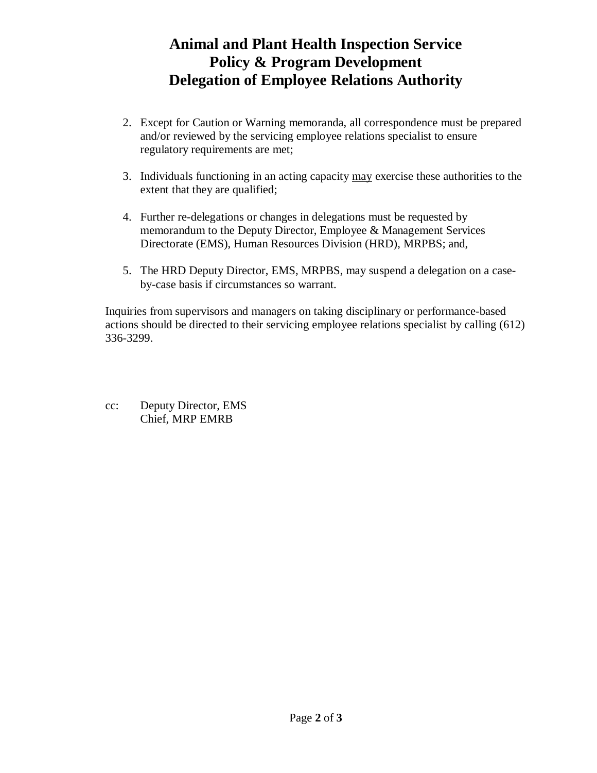## **Animal and Plant Health Inspection Service Policy & Program Development Delegation of Employee Relations Authority**

- 2. Except for Caution or Warning memoranda, all correspondence must be prepared and/or reviewed by the servicing employee relations specialist to ensure regulatory requirements are met;
- 3. Individuals functioning in an acting capacity may exercise these authorities to the extent that they are qualified;
- 4. Further re-delegations or changes in delegations must be requested by memorandum to the Deputy Director, Employee & Management Services Directorate (EMS), Human Resources Division (HRD), MRPBS; and,
- 5. The HRD Deputy Director, EMS, MRPBS, may suspend a delegation on a caseby-case basis if circumstances so warrant.

Inquiries from supervisors and managers on taking disciplinary or performance-based actions should be directed to their servicing employee relations specialist by calling (612) 336-3299.

cc: Deputy Director, EMS Chief, MRP EMRB